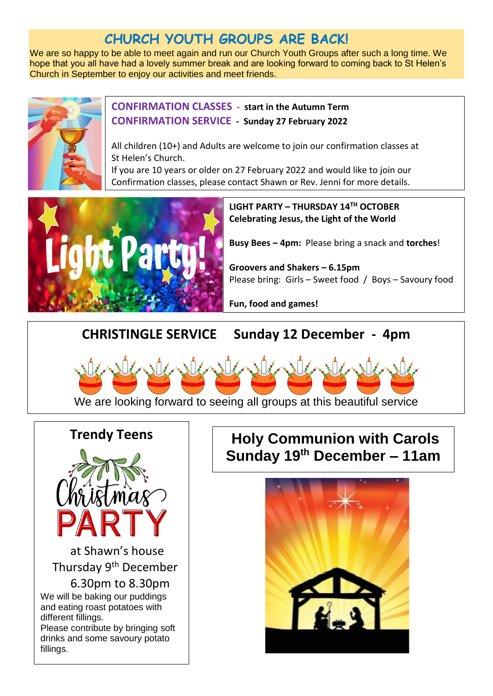# **CHURCH YOUTH GROUPS ARE BACK!**

We are so happy to be able to meet again and run our Church Youth Groups after such a long time. We hope that you all have had a lovely summer break and are looking forward to coming back to St Helen's Church in September to enjoy our activities and meet friends.



#### **CONFIRMATION CLASSES - start in the Autumn Term CONFIRMATION SERVICE - Sunday 27 February 2022**

All children (10+) and Adults are welcome to join our confirmation classes at St Helen's Church.

If you are 10 years or older on 27 February 2022 and would like to join our Confirmation classes, please contact Shawn or Rev. Jenni for more details.



**LIGHT PARTY – THURSDAY 14TH OCTOBER Celebrating Jesus, the Light of the World**

**Busy Bees – 4pm:** Please bring a snack and **torches**!

**Groovers and Shakers – 6.15pm** Please bring: Girls – Sweet food / Boys – Savoury food

**Fun, food and games!**

**CHRISTINGLE SERVICE Sunday 12 December - 4pm**



We are looking forward to seeing all groups at this beautiful service

#### **Trendy Teens**



 at Shawn's house Thursday 9th December 6.30pm to 8.30pm We will be baking our puddings and eating roast potatoes with different fillings. Please contribute by bringing soft

drinks and some savoury potato fillings.

# **Holy Communion with Carols Sunday 19th December – 11am**